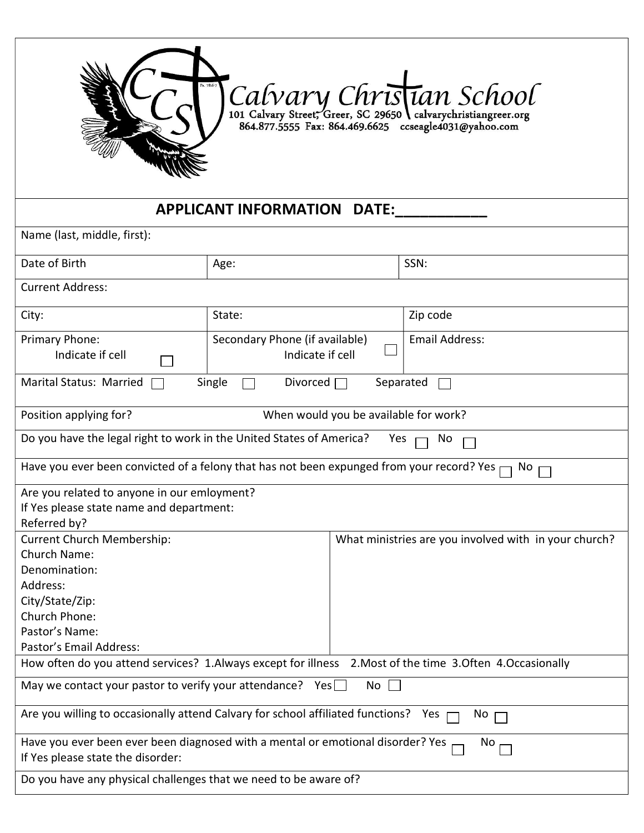|                                                                                                                                      |                                                    |                                       | Calvary Christian School<br>864.877.5555 Fax: 864.469.6625 ccseagle4031@yahoo.com |  |  |  |
|--------------------------------------------------------------------------------------------------------------------------------------|----------------------------------------------------|---------------------------------------|-----------------------------------------------------------------------------------|--|--|--|
|                                                                                                                                      |                                                    |                                       |                                                                                   |  |  |  |
|                                                                                                                                      | <b>APPLICANT INFORMATION</b>                       | <b>DATE:</b>                          |                                                                                   |  |  |  |
| Name (last, middle, first):                                                                                                          |                                                    |                                       |                                                                                   |  |  |  |
| Date of Birth                                                                                                                        | Age:                                               |                                       | SSN:                                                                              |  |  |  |
| <b>Current Address:</b>                                                                                                              |                                                    |                                       |                                                                                   |  |  |  |
| City:                                                                                                                                | State:                                             |                                       | Zip code                                                                          |  |  |  |
| Primary Phone:<br>Indicate if cell                                                                                                   | Secondary Phone (if available)<br>Indicate if cell |                                       | <b>Email Address:</b>                                                             |  |  |  |
| Single<br><b>Marital Status: Married</b><br>Divorced $\Box$<br>Separated                                                             |                                                    |                                       |                                                                                   |  |  |  |
| Position applying for?                                                                                                               |                                                    | When would you be available for work? |                                                                                   |  |  |  |
| Do you have the legal right to work in the United States of America?<br>Yes<br>No.                                                   |                                                    |                                       |                                                                                   |  |  |  |
| Have you ever been convicted of a felony that has not been expunged from your record? Yes<br>No.                                     |                                                    |                                       |                                                                                   |  |  |  |
| Are you related to anyone in our emloyment?<br>If Yes please state name and department:<br>Referred by?                              |                                                    |                                       |                                                                                   |  |  |  |
| <b>Current Church Membership:</b><br>Church Name:<br>Denomination:<br>Address:<br>City/State/Zip:<br>Church Phone:<br>Pastor's Name: |                                                    |                                       | What ministries are you involved with in your church?                             |  |  |  |
| Pastor's Email Address:                                                                                                              |                                                    |                                       |                                                                                   |  |  |  |
| How often do you attend services? 1.Always except for illness 2.Most of the time 3.Often 4.Occasionally                              |                                                    |                                       |                                                                                   |  |  |  |
| May we contact your pastor to verify your attendance? Yes $\square$                                                                  |                                                    | $No$ $\Box$                           |                                                                                   |  |  |  |
| Are you willing to occasionally attend Calvary for school affiliated functions?<br>Yes<br>No.                                        |                                                    |                                       |                                                                                   |  |  |  |
| Have you ever been ever been diagnosed with a mental or emotional disorder? Yes<br>No.<br>If Yes please state the disorder:          |                                                    |                                       |                                                                                   |  |  |  |
| Do you have any physical challenges that we need to be aware of?                                                                     |                                                    |                                       |                                                                                   |  |  |  |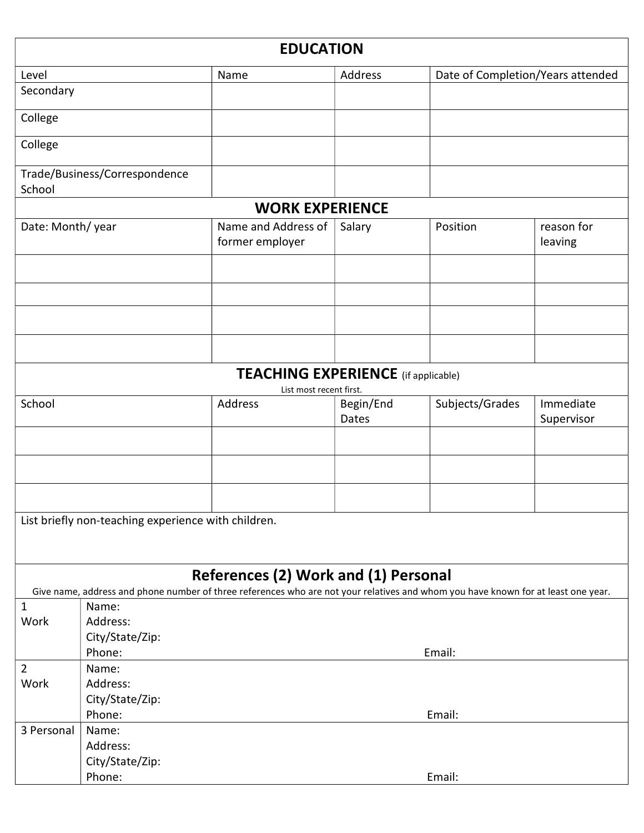|                                                                                                                                                                           |                                     | <b>EDUCATION</b>                                                      |           |                                   |                       |  |  |
|---------------------------------------------------------------------------------------------------------------------------------------------------------------------------|-------------------------------------|-----------------------------------------------------------------------|-----------|-----------------------------------|-----------------------|--|--|
| Level                                                                                                                                                                     |                                     | Name                                                                  | Address   | Date of Completion/Years attended |                       |  |  |
| Secondary                                                                                                                                                                 |                                     |                                                                       |           |                                   |                       |  |  |
| College                                                                                                                                                                   |                                     |                                                                       |           |                                   |                       |  |  |
| College                                                                                                                                                                   |                                     |                                                                       |           |                                   |                       |  |  |
| School                                                                                                                                                                    | Trade/Business/Correspondence       |                                                                       |           |                                   |                       |  |  |
|                                                                                                                                                                           |                                     | <b>WORK EXPERIENCE</b>                                                |           |                                   |                       |  |  |
| Date: Month/year                                                                                                                                                          |                                     | Name and Address of<br>former employer                                | Salary    | Position                          | reason for<br>leaving |  |  |
|                                                                                                                                                                           |                                     |                                                                       |           |                                   |                       |  |  |
|                                                                                                                                                                           |                                     |                                                                       |           |                                   |                       |  |  |
|                                                                                                                                                                           |                                     |                                                                       |           |                                   |                       |  |  |
|                                                                                                                                                                           |                                     | <b>TEACHING EXPERIENCE</b> (if applicable)<br>List most recent first. |           |                                   |                       |  |  |
| School                                                                                                                                                                    |                                     | Address                                                               | Begin/End | Subjects/Grades                   | Immediate             |  |  |
|                                                                                                                                                                           |                                     |                                                                       | Dates     |                                   | Supervisor            |  |  |
|                                                                                                                                                                           |                                     |                                                                       |           |                                   |                       |  |  |
|                                                                                                                                                                           |                                     |                                                                       |           |                                   |                       |  |  |
|                                                                                                                                                                           |                                     |                                                                       |           |                                   |                       |  |  |
|                                                                                                                                                                           |                                     |                                                                       |           |                                   |                       |  |  |
| List briefly non-teaching experience with children.                                                                                                                       |                                     |                                                                       |           |                                   |                       |  |  |
| References (2) Work and (1) Personal<br>Give name, address and phone number of three references who are not your relatives and whom you have known for at least one year. |                                     |                                                                       |           |                                   |                       |  |  |
| $\mathbf{1}$                                                                                                                                                              | Name:                               |                                                                       |           |                                   |                       |  |  |
| Work                                                                                                                                                                      | Address:                            |                                                                       |           |                                   |                       |  |  |
|                                                                                                                                                                           | City/State/Zip:                     |                                                                       |           |                                   |                       |  |  |
|                                                                                                                                                                           | Phone:<br>Email:                    |                                                                       |           |                                   |                       |  |  |
| $\overline{2}$                                                                                                                                                            | Name:                               |                                                                       |           |                                   |                       |  |  |
| Work                                                                                                                                                                      | Address:                            |                                                                       |           |                                   |                       |  |  |
|                                                                                                                                                                           | City/State/Zip:                     |                                                                       |           |                                   |                       |  |  |
|                                                                                                                                                                           | Phone:                              |                                                                       |           | Email:                            |                       |  |  |
| 3 Personal                                                                                                                                                                | Name:                               |                                                                       |           |                                   |                       |  |  |
|                                                                                                                                                                           | Address:                            |                                                                       |           |                                   |                       |  |  |
|                                                                                                                                                                           | City/State/Zip:<br>Phone:<br>Email: |                                                                       |           |                                   |                       |  |  |
|                                                                                                                                                                           |                                     |                                                                       |           |                                   |                       |  |  |